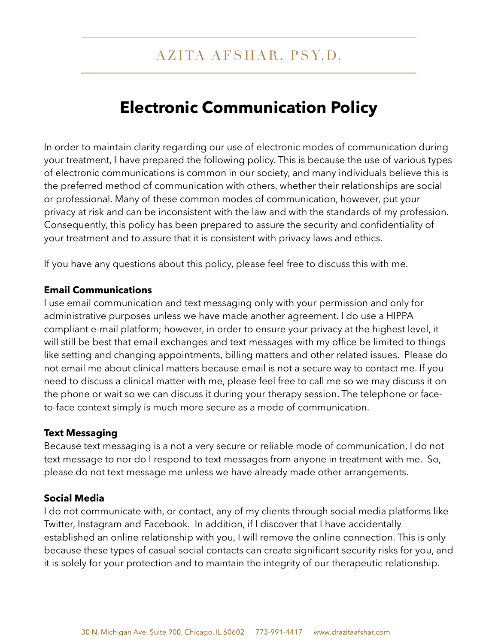# AZITA AFSHAR, PSY.D.

# **Electronic Communication Policy**

In order to maintain clarity regarding our use of electronic modes of communication during your treatment, I have prepared the following policy. This is because the use of various types of electronic communications is common in our society, and many individuals believe this is the preferred method of communication with others, whether their relationships are social or professional. Many of these common modes of communication, however, put your privacy at risk and can be inconsistent with the law and with the standards of my profession. Consequently, this policy has been prepared to assure the security and confidentiality of your treatment and to assure that it is consistent with privacy laws and ethics.

If you have any questions about this policy, please feel free to discuss this with me.

#### **Email Communications**

I use email communication and text messaging only with your permission and only for administrative purposes unless we have made another agreement. I do use a HIPPA compliant e-mail platform; however, in order to ensure your privacy at the highest level, it will still be best that email exchanges and text messages with my office be limited to things like setting and changing appointments, billing matters and other related issues. Please do not email me about clinical matters because email is not a secure way to contact me. If you need to discuss a clinical matter with me, please feel free to call me so we may discuss it on the phone or wait so we can discuss it during your therapy session. The telephone or faceto-face context simply is much more secure as a mode of communication.

#### **Text Messaging**

Because text messaging is a not a very secure or reliable mode of communication, I do not text message to nor do I respond to text messages from anyone in treatment with me. So, please do not text message me unless we have already made other arrangements.

#### **Social Media**

I do not communicate with, or contact, any of my clients through social media platforms like Twitter, Instagram and Facebook. In addition, if I discover that I have accidentally established an online relationship with you, I will remove the online connection. This is only because these types of casual social contacts can create significant security risks for you, and it is solely for your protection and to maintain the integrity of our therapeutic relationship.